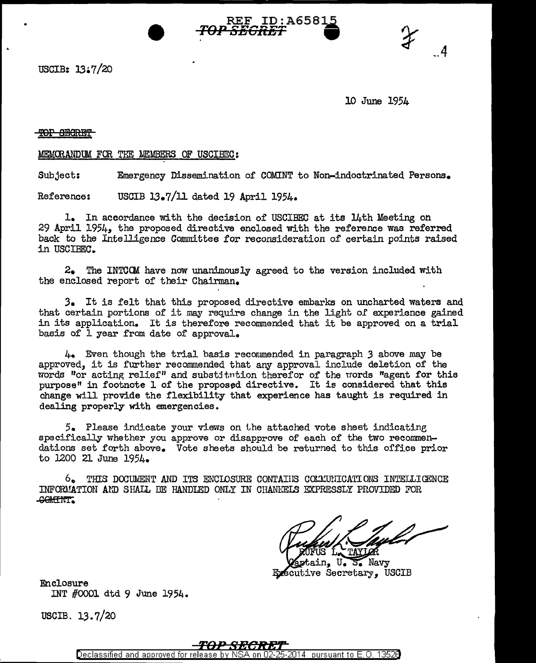

USCIB: 13•7/20

10 June 1954

 $\overline{\phantom{a}}$ 

## TOP SECRET

#### MEMORANDUM FOR THE LIEMBERS OF USCIBEC:

Subject: Emergency Dissemination of COMINT to Non-indoctrinated Persons.

Reference: USCIB 13.7/11 dated 19 April 1954.

1. In accordance with the decision of USCIBEC at its 14th Meeting on 29 April 1954, the proposed directive enclosed with the reference was referred back to the Intelligence Committee for reconsideration of certain points raised in USCIBEC.

 $2.$  The INTCOM have now unanimously agreed to the version included with the enclosed report of their Chairman.

*3.* It is felt that this proposed directive embarks on uncharted waters and that certain portions of it may require change in the light of experience gained in its application. It is therefore recommended that it be approved on a trial basis of 1 year from date of approval.

4. Even though the trial basis recommended in paragraph *3* above may be approved, it is further recommended that any approval include deletion of the words "or acting relief" and substitution therefor of the words "agent for this purpose" in footnote 1 of the proposed directive. It is considered that this change will provide the flexibility that experience has taught is required in dealing properly with emergencies.

5. Please indicate your views on the attached vote sheet indicatine specifically whether you approve or disapprove of each of the two recommendations set forth above. Vote sheets should be returned to this office prior to J200 21 June 1954.

 $6.$  THIS DOCUMENT AND ITS ENCLOSURE CONTAIIS COLLUNICATIONS INTELLIGENCE INFORMATION AND SHALL BE HANDIED ONLY IN CHANNELS EXPRESSLY PROVIDED FOR -GOltffNT;

ptain, U. 5. Navy Executive Secretary, USCIB

Enclosure INT #0001 dtd 9 June 1954.

USCIB. 13.7/20



Declassified and approved for release by NSA on 02-2 25-2014 pursuant to E.O. 13526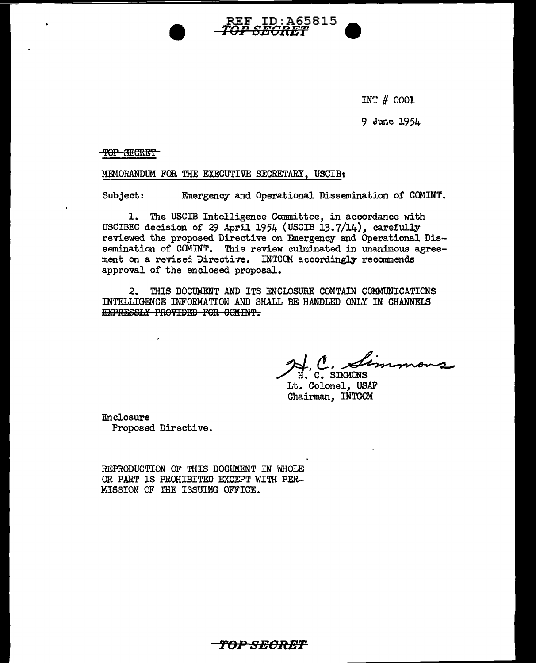INT # 0001

9 June 1954

TOP SECRET

MmORANDUM FOR THE EXECUTIVE SECRETARY, USCIB:

Subject: Emergency and Operational Dissemination of COMINT.

REF ID:A65815 ~,.,. :rio n r..,., :rio r..,.,., **vz o:con:z;;1** 

1. The USCIB Intelligence Committee, in accordance with USCIBEC decision of 29 April 1954 (USCIB 13.7/14), carefully reviewed the proposed Directive on Emergency and Operational Dissemination of COMINT. This review culminated in unanimous agreement on a revised Directive. INTCCM accordingly recommends approval of the enclosed proposal.

2. THIS DOCUMENT AND ITS ENCLOSURE CONTAIN COMMUNICATIONS INTELLIGENCE INFORMATION AND SHALL BE HANDLED ONLY IN CHANNELS EXPRESSLY PROVIDED FOR 60MINT.

'kl,(!,~·~~ /7. C. SIMMONS

Lt. Colonel, USAF Chairman, INTCOM

Enclosure Proposed Directive.

REPRODUCTION OF THIS DOCUMENT IN WHOLE OR PART IS PROHIBITED EXCEPT WITH PER-MISSION OF THE ISSUING OFFICE.

*f'OP* **SBORBT**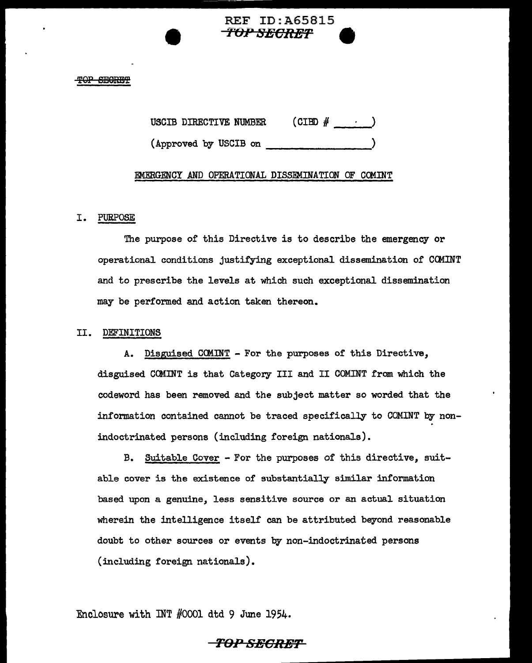# **REF ID:A65815<br>TOP SECRET**

### **SEGRET**

USCIB DIRECTIVE NUMBER  $(CIBD \# \cdot \cdot \cdot)$ 

(Approved by USCIB on \_\_\_\_\_\_\_\_ .)

## EMERGENCY AND OPERATIONAL DISSEMINATION OF CCMINT

## I. PURPOSE

The purpose of this Directive is to describe the emergency or operational conditions justifying exceptional dissemination of CCMINT and to prescribe the levels at which such exceptional dissemination may be performed and action taken thereon.

## II. DEFINITIONS

A. Disguised CCMINT - For the purposes of this Directive, disguised COMINT is that Category III and II COMINT from which the codeword has been removed and the subject matter so worded that the information contained cannot be traced specifically to COMINT by nonindoctrinated persons (including foreign nationals).

B. Suitable Cover - For the purposes of this directive, suitable cover is the existence of substantially similar information based upon a genuine, less sensitive source or an actual situation wherein the intelligence itself can be attributed beyond reasonable doubt to other sources or events by non-indoctrinated persons (including foreign nationals).

Enclosure with INT #0001 dtd 9 June 1954.

## **TOPSEGR£T**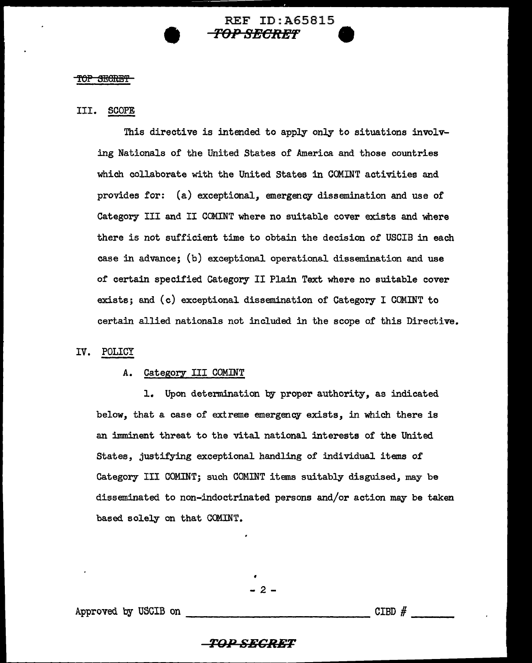## REF ID:A65815 • **TQP 8ECRE'F 9**

## <del>IOP SECRET</del>

## III. SCOPE

This directive is intended to apply only to situations involving Nationals of the United States of America and those countries which collaborate with the United States in COMINT activities and provides for: (a) exceptional, emergency dissemination and use of Category III and II COMINT where no suitable cover exists and where there is not sufficient time to obtain the decision of USCIB in each case in advance; (b) exceptional operational dissemination and use of certain specified Category II Plain Text where no suitable cover exists; and (c) exceptional dissemination of Category I COMINT to certain allied nationals not included in the scope of this Directive.

## IV. POLICY

## A. Category III COMINT

1. Upon determination by proper authority, as indicated below, that a case of extreme emergency exists, in which there is an imminent threat to the vital national interests of the United States, justifying exceptional handling of individual items of Category III COMINT; such COMINT items suitably disguised, may be disseminated to non-indoctrinated persons and/or action may be taken based solely on that COMINT.

 $2 -$ 

Approved by USCIB on

 $CIBD$   $#$ 

## *TlJ:P SECRET*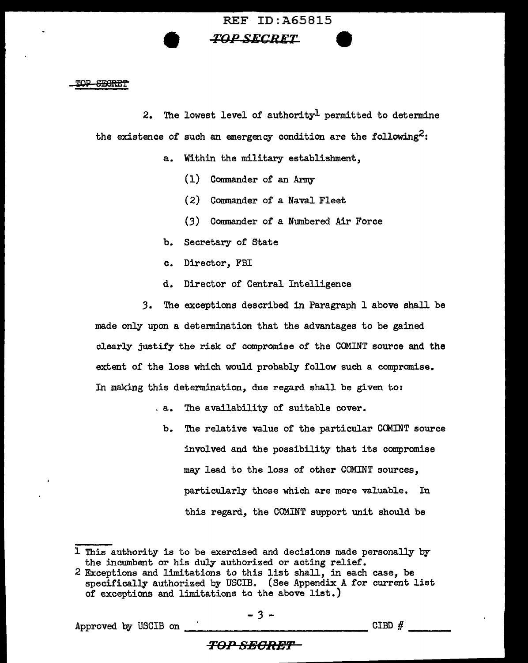## REF ID:A65815 *FOP SECRET*

## TOP SECRET

2. The lowest level of authority<sup>1</sup> permitted to determine the existence of such an emergency condition are the following<sup>2</sup>:

- a. Within the military establishment,
	- (1) Commander of an Army
	- (2) Commander of a Naval Fleet
	- (3) Commander of a Numbered Air Force
- b. Secretary of State
- c. Director, FBI
- d. Director of Central Intelligence

*3.* The exceptions described in Paragraph 1 above shall be made only upon a determination that the advantages to be gained clearly justify the risk of compromise of the COMINT source and the extent of the loss which would probably follow such a compromise. In making this determination, due regard shall be given to:

- . a. The availability of suitable cover.
	- b. The relative value of the particular COMINT source involved and the possibility that its compromise may lead to the loss of other COMINT sources, particularly those which are more valuable. In this regard, the COMINT support unit should be

## *TO:P SEORB'F*

<sup>1</sup> This authority is to be exercised and decisions made personally by the incumbent or his duly authorized or acting relief.

<sup>2</sup> Exceptions and limitations to this list shall, in each case, be specifically authorized by USCIB. (See Appendix A for current list of exceptions and limitations to the above list.)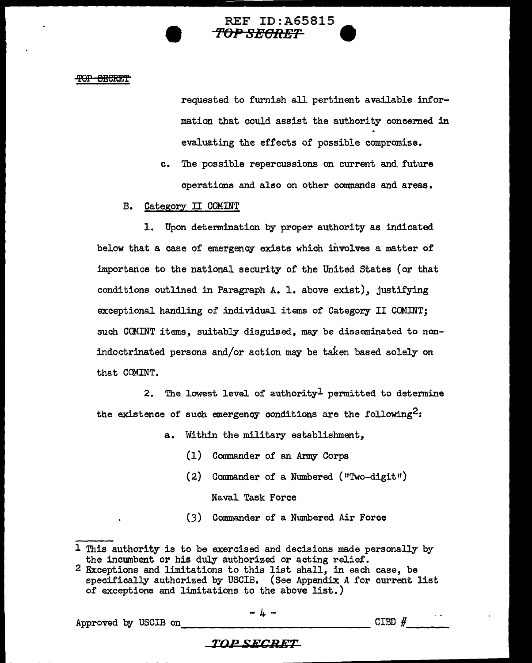## REF ID:A65815 **f'OP SlffCRET 9**

#### TOP SECRET

requested to furnish all pertinent available information that could assist the authority concerned in evaluating the effects of possible compromise.

c. The possible repercussions on current and. future operations and also on other commands and areas.

## B. Category II COMINT

1. Upon determination by proper authority as indicated below that a case of emergency exists which involves a matter of importance to the national security of the United States (or that conditions outlined in Paragraph A. 1. above exist), justifying exceptional handling of individual items of Category II COMINT; such COMINT items, suitably disguised, may be disseminated to nonindoctrinated persons and/or action may be taken based solely on that CCMINT.

2. The lowest level of authority<sup>1</sup> permitted to determine the existence of such emergency conditions are the following<sup>2</sup>:

- a. Within the military establishment,
	- (1) Commander of an Army Corps
	- $(2)$  Commander of a Numbered ("Two-digit")

Naval Task Force

(3) Commander of a Numbered Air Force

 $\frac{1}{4}$  - Approved by USCIB on

- 4 -

## **TOP SECRET**

l This authority is to be exercised and decisions made personally by the incmnbent or his duly authorized or acting relief.

<sup>2</sup> Exceptions and limitations to this list shall, in each case, be specifically authorized by USCIB. (See Appendix A for current list of exceptions and limitations to the above list.)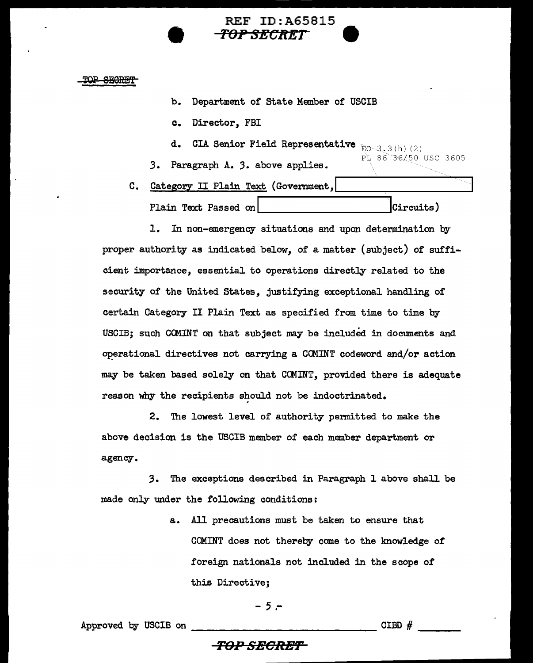REF ID:A65815 *TOP SECRET* **9** 

TOP SEGRET

- b. Department of State Member of USCIB
- c. Director, FBI
- d. CIA Senior Field Representative  $_{\textrm{E} \textrm{O} \sim 3.3 \,(\textrm{h}) \,(\textrm{2})}$
- *3.*  Paragraph A. 3. above applies. PL 86-36/50 USC 3605
- C. Category II Plain Text (Government,

Plain Text Passed on  $\vert$  Circuits)

1. In non-emergency situations and upon determination by proper authority as indicated below, of a matter (subject) of sufficient importance, essential to operations directly related to the security of the United States, justifying exceptional handling of certain Category II Plain Text as specified from time to time by USCIB; such CCMINT on that subject may be included in documents and operational directives not carrying a CCMINT codeword and/or action may be taken based solely on that COMINT, provided there is adequate reason why the recipients should not be indoctrinated.

2. The lowest level of authority permitted to make the above decision is the USCIB member of each member department or agency.

*3.* The exceptions described in Paragraph l above shall be made only under the following conditions:

> a. All precautions must be taken to ensure that COMINT does not thereby come to the knowledge of foreign nationals not included in the scope of this Directive;

$$
-5 -
$$

Approved by USCIB on --------------- CIBD # ---

## **TOPSHCRBT**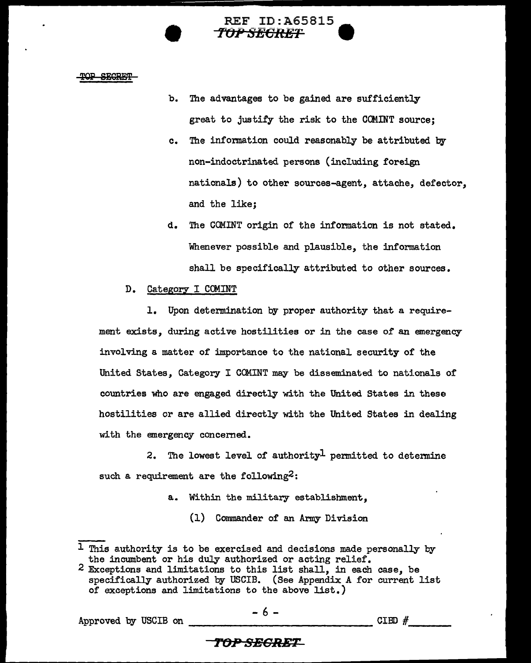#### TOP SECRET

b. The advantages to be gained are sufficiently great to justify the risk to the COMINT source;

**REF ID:A65815** 

**r"()fl SECRET w** 

- c. The infonnation could reasonably be attributed by non-indoctrinated persons (including foreign nationals) to other sources-agent, attache, defector, and the like;
- d. The COMINT origin of the information is not stated. Whenever possible and plausible, the information shall be specifically attributed to other sources.

## D. Category I COMINT

1. Upon determination by proper authority that a requirement exists, during active hostilities or in the case of an emergency involving a matter of importance to the national security of the United States, Category I COMINT may be disseminated to nationals of countries who are engaged directly with the United States in these hostilities or are allied directly with the United States in dealing with the emergency concerned.

2. The lowest level of authority<sup>1</sup> permitted to determine such a requirement are the following<sup>2</sup>:

- a. Within the military establishment,
	- (1) Commander of an Army Division

Approved by USCIB on  $-6$  - CIBD  $\#$ 

- 6 -

## *TOP SEGRET*

 $1$  This authority is to be exercised and decisions made personally by the incumbent or his duly authorized or acting relief.

 $2$  Exceptions and limitations to this list shall, in each case, be specifically authorized by USCIB. (See Appendix A for current list of exceptions and limitations to the above list.)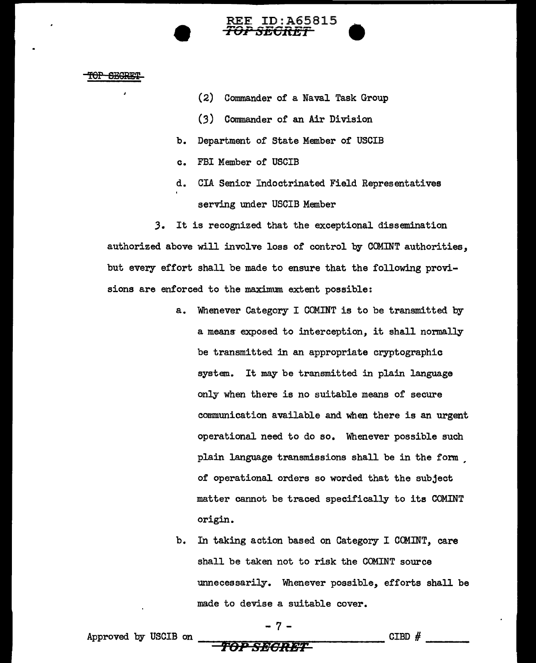#### TOP SEGRE:

(2) Commander of a Naval Task Group

**REE ID:A65815**<br>*TOP SECRET* 

- *(3)* Commander of an Air Division
- b. Department of State Member of USCIB
- c. FBI Member of USCIB
- d. CIA Senior Indoctrinated Field Representatives serving under USCIB Member

*3.* It is recognized that the exceptional dissemination authorized above will involve loss of control by COMINT authorities, but every effort shall be made to ensure that the following provisions are enforced to the maximum extent possible:

- a. Whenever Category I COMINT is to be transmitted by a meang exposed to interception, it shall normally be transmitted in an appropriate cryptographic system. It may be transmitted in plain language only when there is no suitable means of secure communication available and when there is an urgent operational need to do so. Whenever possible such plain language transmissions shall be in the form , of operational orders so worded that the subject matter cannot be traced specifically to its COMINT origin.
- b. In taking action based on Category I COMINT, care shall be taken not to risk the COMINT source unnecessarily. Whenever possible, efforts shall be made to devise a suitable cover.

Approved by USCIB on ---=~q::;;~~~~i!:"----- CIBD # --- **roP SEGRET** 

- 7 -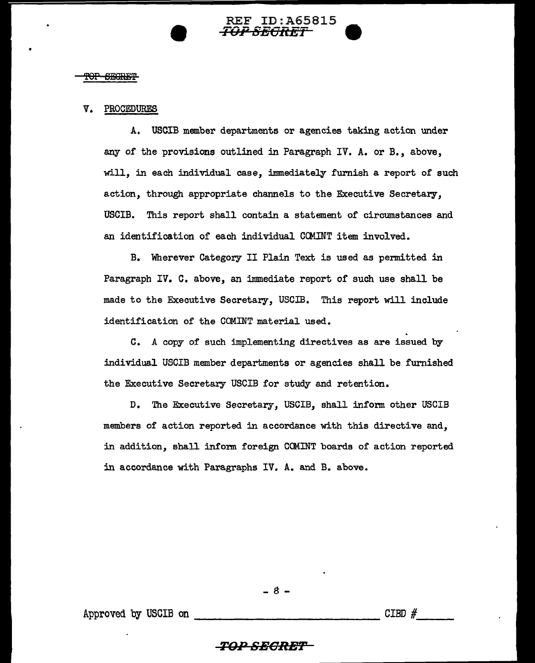## REF ID:A65815<br>*TOP SECRET*

## <del>'OP SEGRET</del>

•

## V. PROCEDURES

A. USCIB member departments or agencies taking action under any of the provisions outlined in Paragraph IV. A. or B., above, will, in each individual case, immediately furnish a report of such action, through appropriate channels to the Executive Secretary, USCIB. This report shall contain a statement of circumstances and an identification of each individual CCMINT item involved.

B. Wherever Category II Plain Text is used as permitted in Paragraph IV. C. above, an immediate report of such use shall be made to the Executive Secretary, USCIB. This report will include identification of the COMINT material used.

C. A copy of such implementing directives as are issued by individual USCIB member departments or agencies shall be furnished the Executive Secretary USCIB for study and retention.

D. The Executive Secretary, USCIB, shall infonn other USCIB members of action reported in accordance with this directive and, in addition, shall infonn foreign CCMINT boards of action reported in accordance with Paragraphs IV. A. and B. above.

 $- 8 -$ 

Approved by USCIB on ------------- CIBD # \_\_ \_

## $\overline{TOP SEGRET}$